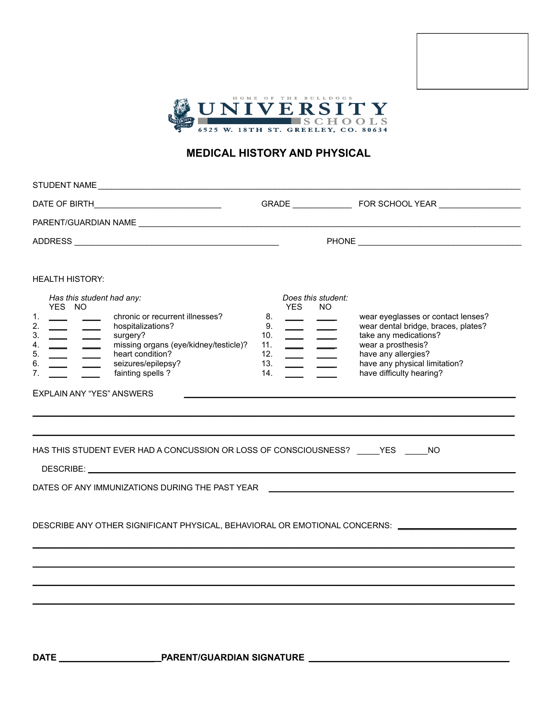



## **MEDICAL HISTORY AND PHYSICAL**

| PARENT/GUARDIAN NAME UNIVERSITY OF A RESERVE THE CONTROL OF A REPORT OF A REPORT OF A REPORT OF A REPORT OF A REPORT OF A REPORT OF A REPORT OF A REPORT OF A REPORT OF A REPORT OF A REPORT OF A REPORT OF A REPORT OF A REPO<br><b>HEALTH HISTORY:</b><br>Has this student had any:<br>Does this student:<br>YES NO<br><b>YES</b><br>NO.<br>1.<br>chronic or recurrent illnesses?<br>8.<br>wear eyeglasses or contact lenses?<br>2.<br>9.<br>wear dental bridge, braces, plates?<br>hospitalizations?<br>$\overline{\phantom{a}}$ and $\overline{\phantom{a}}$<br>$\overline{\phantom{a}}$ and $\overline{\phantom{a}}$<br>3.<br>take any medications?<br>10.<br>surgery?<br>$\frac{1}{1} \left( \frac{1}{1} \right)$<br>$\overline{\phantom{a}}$ $\overline{\phantom{a}}$<br>missing organs (eye/kidney/testicle)?<br>wear a prosthesis?<br>4.<br>11.<br>$\frac{1}{1}$<br>$=$ $=$<br>heart condition?<br>5.<br>have any allergies?<br>12.<br>$\frac{1}{1} \left( \frac{1}{1} \right) = \frac{1}{1} \left( \frac{1}{1} \right) = \frac{1}{1} \left( \frac{1}{1} \right) = \frac{1}{1} \left( \frac{1}{1} \right) = \frac{1}{1} \left( \frac{1}{1} \right) = \frac{1}{1} \left( \frac{1}{1} \right) = \frac{1}{1} \left( \frac{1}{1} \right) = \frac{1}{1} \left( \frac{1}{1} \right) = \frac{1}{1} \left( \frac{1}{1} \right) = \frac{1}{1} \left( \frac{1}{1} \right) = \frac{1}{1} \left($<br>have any physical limitation?<br>seizures/epilepsy?<br>6.<br>13.<br>have difficulty hearing?<br>fainting spells ?<br>7.<br>14.<br><b>EXPLAIN ANY "YES" ANSWERS</b><br>HAS THIS STUDENT EVER HAD A CONCUSSION OR LOSS OF CONSCIOUSNESS? _____YES _____NO<br>DATES OF ANY IMMUNIZATIONS DURING THE PAST YEAR THE RESERVED ASSESSED. THE RESERVED OF AN INCOMEDIATE STATES OF AN INCOMEDIATE STATES OF A STATE OF A STATE OF A STATE OF A STATE OF A STATE OF A STATE OF A STATE OF A STATE<br>DESCRIBE ANY OTHER SIGNIFICANT PHYSICAL, BEHAVIORAL OR EMOTIONAL CONCERNS: ________________________ |  | STUDENT NAME CONTRACTED AND RESIDENCE IN A STRUCK OF THE STRUCK OF THE STRUCK OF THE STRUCK OF THE STRUCK OF THE STRUCK OF THE STRUCK OF THE STRUCK OF THE STRUCK OF THE STRUCK OF THE STRUCK OF THE STRUCK OF THE STRUCK OF T |  |
|---------------------------------------------------------------------------------------------------------------------------------------------------------------------------------------------------------------------------------------------------------------------------------------------------------------------------------------------------------------------------------------------------------------------------------------------------------------------------------------------------------------------------------------------------------------------------------------------------------------------------------------------------------------------------------------------------------------------------------------------------------------------------------------------------------------------------------------------------------------------------------------------------------------------------------------------------------------------------------------------------------------------------------------------------------------------------------------------------------------------------------------------------------------------------------------------------------------------------------------------------------------------------------------------------------------------------------------------------------------------------------------------------------------------------------------------------------------------------------------------------------------------------------------------------------------------------------------------------------------------------------------------------------------------------------------------------------------------------------------------------------------------------------------------------------------------------------------------------------------------------------------------------------------------------------------------------------------------------------------------------|--|--------------------------------------------------------------------------------------------------------------------------------------------------------------------------------------------------------------------------------|--|
|                                                                                                                                                                                                                                                                                                                                                                                                                                                                                                                                                                                                                                                                                                                                                                                                                                                                                                                                                                                                                                                                                                                                                                                                                                                                                                                                                                                                                                                                                                                                                                                                                                                                                                                                                                                                                                                                                                                                                                                                   |  |                                                                                                                                                                                                                                |  |
|                                                                                                                                                                                                                                                                                                                                                                                                                                                                                                                                                                                                                                                                                                                                                                                                                                                                                                                                                                                                                                                                                                                                                                                                                                                                                                                                                                                                                                                                                                                                                                                                                                                                                                                                                                                                                                                                                                                                                                                                   |  |                                                                                                                                                                                                                                |  |
|                                                                                                                                                                                                                                                                                                                                                                                                                                                                                                                                                                                                                                                                                                                                                                                                                                                                                                                                                                                                                                                                                                                                                                                                                                                                                                                                                                                                                                                                                                                                                                                                                                                                                                                                                                                                                                                                                                                                                                                                   |  |                                                                                                                                                                                                                                |  |
|                                                                                                                                                                                                                                                                                                                                                                                                                                                                                                                                                                                                                                                                                                                                                                                                                                                                                                                                                                                                                                                                                                                                                                                                                                                                                                                                                                                                                                                                                                                                                                                                                                                                                                                                                                                                                                                                                                                                                                                                   |  |                                                                                                                                                                                                                                |  |
|                                                                                                                                                                                                                                                                                                                                                                                                                                                                                                                                                                                                                                                                                                                                                                                                                                                                                                                                                                                                                                                                                                                                                                                                                                                                                                                                                                                                                                                                                                                                                                                                                                                                                                                                                                                                                                                                                                                                                                                                   |  |                                                                                                                                                                                                                                |  |
|                                                                                                                                                                                                                                                                                                                                                                                                                                                                                                                                                                                                                                                                                                                                                                                                                                                                                                                                                                                                                                                                                                                                                                                                                                                                                                                                                                                                                                                                                                                                                                                                                                                                                                                                                                                                                                                                                                                                                                                                   |  |                                                                                                                                                                                                                                |  |
|                                                                                                                                                                                                                                                                                                                                                                                                                                                                                                                                                                                                                                                                                                                                                                                                                                                                                                                                                                                                                                                                                                                                                                                                                                                                                                                                                                                                                                                                                                                                                                                                                                                                                                                                                                                                                                                                                                                                                                                                   |  |                                                                                                                                                                                                                                |  |
|                                                                                                                                                                                                                                                                                                                                                                                                                                                                                                                                                                                                                                                                                                                                                                                                                                                                                                                                                                                                                                                                                                                                                                                                                                                                                                                                                                                                                                                                                                                                                                                                                                                                                                                                                                                                                                                                                                                                                                                                   |  |                                                                                                                                                                                                                                |  |
|                                                                                                                                                                                                                                                                                                                                                                                                                                                                                                                                                                                                                                                                                                                                                                                                                                                                                                                                                                                                                                                                                                                                                                                                                                                                                                                                                                                                                                                                                                                                                                                                                                                                                                                                                                                                                                                                                                                                                                                                   |  |                                                                                                                                                                                                                                |  |
|                                                                                                                                                                                                                                                                                                                                                                                                                                                                                                                                                                                                                                                                                                                                                                                                                                                                                                                                                                                                                                                                                                                                                                                                                                                                                                                                                                                                                                                                                                                                                                                                                                                                                                                                                                                                                                                                                                                                                                                                   |  |                                                                                                                                                                                                                                |  |
|                                                                                                                                                                                                                                                                                                                                                                                                                                                                                                                                                                                                                                                                                                                                                                                                                                                                                                                                                                                                                                                                                                                                                                                                                                                                                                                                                                                                                                                                                                                                                                                                                                                                                                                                                                                                                                                                                                                                                                                                   |  |                                                                                                                                                                                                                                |  |
|                                                                                                                                                                                                                                                                                                                                                                                                                                                                                                                                                                                                                                                                                                                                                                                                                                                                                                                                                                                                                                                                                                                                                                                                                                                                                                                                                                                                                                                                                                                                                                                                                                                                                                                                                                                                                                                                                                                                                                                                   |  |                                                                                                                                                                                                                                |  |

**DATE** \_\_\_\_\_\_\_\_\_\_\_\_\_\_\_\_\_\_\_\_\_ **PARENT/GUARDIAN SIGNATURE** \_\_\_\_\_\_\_\_\_\_\_\_\_\_\_\_\_\_\_\_\_\_\_\_\_\_\_\_\_\_\_\_\_\_\_\_\_\_\_\_\_\_\_\_